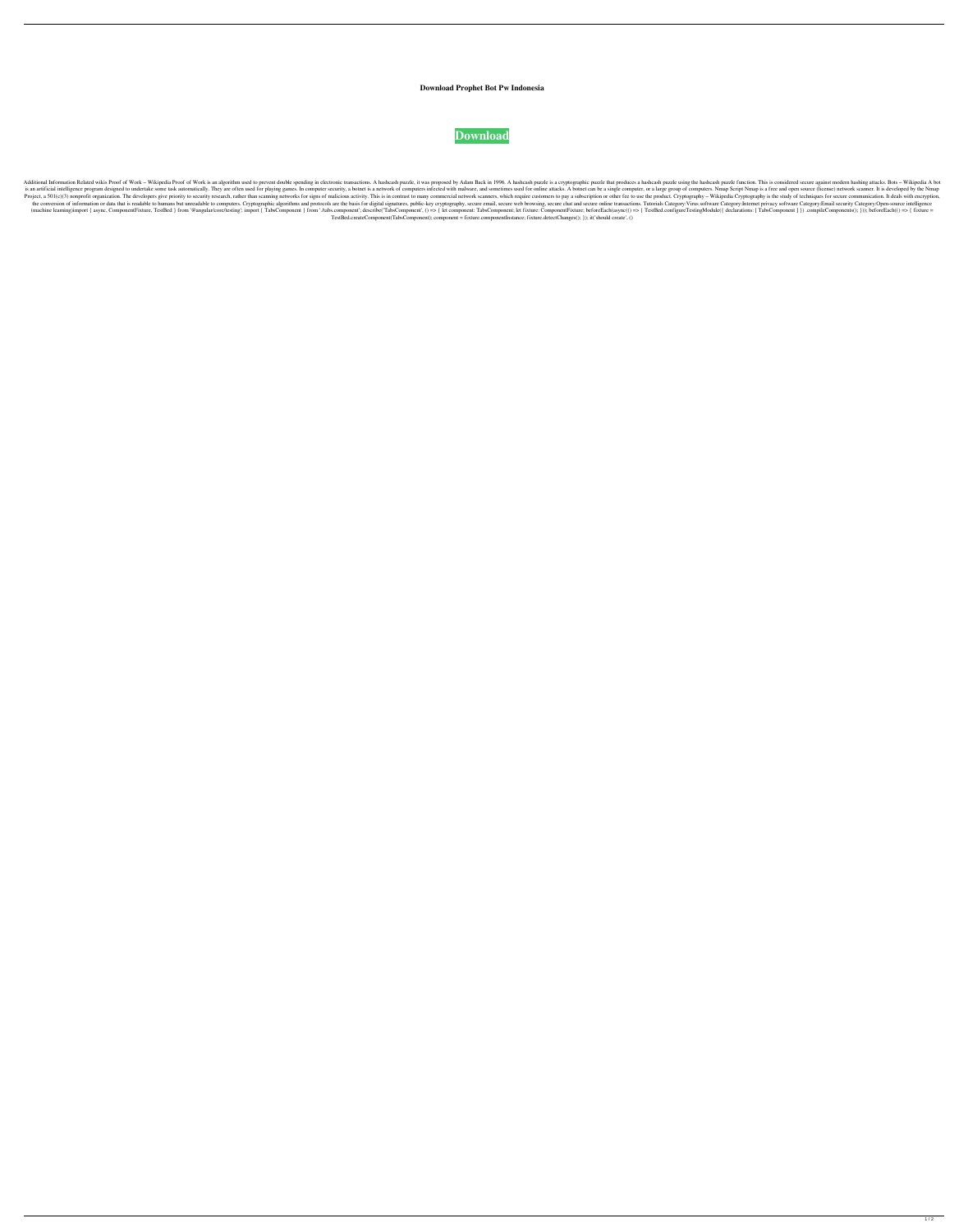## **Download Prophet Bot Pw Indonesia**

## **[Download](http://evacdir.com/accountable/ZG93bmxvYWR8RFMwTkcxNWZId3hOalV5TnpRd09EWTJmSHd5TlRjMGZId29UU2tnY21WaFpDMWliRzluSUZ0R1lYTjBJRWRGVGww.ZG93bmxvYWQgcHJvcGhldCBib3QgcHcgaW5kb25lc2lhZG9/visibility/articleyes.baccy/bootie.jordaan.lignes)**

Additional Information Related wikis Proof of Work - Wikipedia Proof of Work is an algorithm used to prevent double spending in electronic transactions. A hashcash puzzle, it was proposed by Adam Back in 1996. A hashcash p is an artificial intelligence program designed to undertake some task automatically. They are often used for playing games. In computer security, a botnet is a network of computers infected with malware, and sometimes used Project, a 501(c)(3) nonprofit organization. The developers give priority to security research, rather than scanning networks for signs of malicious activity. This is in contrast to many commercial network scanners, which the conversion of information or data that is readable to humans but unreadable to computers. Cryptographic algorithms and protocols are the basis for digital signatures, public-key cryptography, secure email, secure chat (machine learning)import { async, ComponentFixture, TestBed } from '@angular/core/testing'; import { TabsComponent } from './tabs.component'; describe('TabsComponent', o => { let componentFixture; beforeEach(async(() => { TestBed.createComponent(TabsComponent); component = fixture.componentInstance; fixture.detectChanges(); }); it('should create', ()